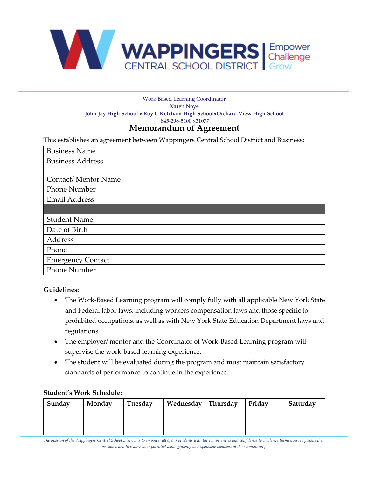

### **Memorandum of Agreement**  Work Based Learning Coordinator Karen Noye **John Jay High School** • **Roy C Ketcham High School**•**Orchard View High School** 845-298-5100 x31077

This establishes an agreement between Wappingers Central School District and Business:

| <b>Business Name</b>     |  |
|--------------------------|--|
| <b>Business Address</b>  |  |
|                          |  |
| Contact/Mentor Name      |  |
| <b>Phone Number</b>      |  |
| <b>Email Address</b>     |  |
|                          |  |
| <b>Student Name:</b>     |  |
| Date of Birth            |  |
| Address                  |  |
| Phone                    |  |
| <b>Emergency Contact</b> |  |
| <b>Phone Number</b>      |  |

# **Guidelines:**

- The Work-Based Learning program will comply fully with all applicable New York State and Federal labor laws, including workers compensation laws and those specific to prohibited occupations, as well as with New York State Education Department laws and regulations.
- The employer/ mentor and the Coordinator of Work-Based Learning program will supervise the work-based learning experience.
- The student will be evaluated during the program and must maintain satisfactory standards of performance to continue in the experience.

# **Student's Work Schedule:**

| Sunday | Monday | Tuesday | Wednesday Thursday | Friday | Saturday |
|--------|--------|---------|--------------------|--------|----------|
|        |        |         |                    |        |          |
|        |        |         |                    |        |          |
|        |        |         |                    |        |          |

*The mission of the Wappingers Central School District is to empower all of our students with the competencies and confidence to challenge themselves, to pursue their passions, and to realize their potential while growing as responsible members of their community.*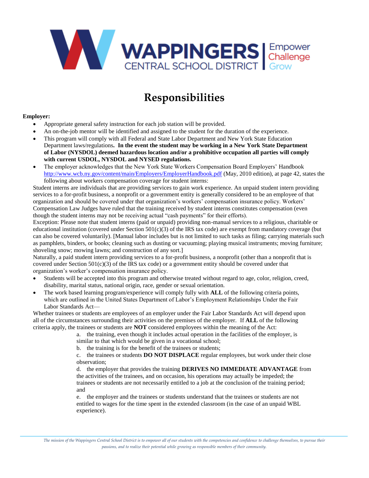

# **Responsibilities**

#### **Employer:**

- Appropriate general safety instruction for each job station will be provided.
- An on-the-job mentor will be identified and assigned to the student for the duration of the experience.
- This program will comply with all Federal and State Labor Department and New York State Education Department laws/regulations**. In the event the student may be working in a New York State Department of Labor (NYSDOL) deemed hazardous location and/or a prohibitive occupation all parties will comply with current USDOL, NYSDOL and NYSED regulations.**
- The employer acknowledges that the New York State Workers Compensation Board Employers' Handbook <http://www.wcb.ny.gov/content/main/Employers/EmployerHandbook.pdf> (May, 2010 edition), at page 42, states the following about workers compensation coverage for student interns:

Student interns are individuals that are providing services to gain work experience. An unpaid student intern providing services to a for-profit business, a nonprofit or a government entity is generally considered to be an employee of that organization and should be covered under that organization's workers' compensation insurance policy. Workers' Compensation Law Judges have ruled that the training received by student interns constitutes compensation (even though the student interns may not be receiving actual "cash payments" for their efforts).

Exception: Please note that student interns (paid or unpaid) providing non-manual services to a religious, charitable or educational institution (covered under Section  $501(c)(3)$  of the IRS tax code) are exempt from mandatory coverage (but can also be covered voluntarily). [Manual labor includes but is not limited to such tasks as filing; carrying materials such as pamphlets, binders, or books; cleaning such as dusting or vacuuming; playing musical instruments; moving furniture; shoveling snow; mowing lawns; and construction of any sort.]

Naturally, a paid student intern providing services to a for-profit business, a nonprofit (other than a nonprofit that is covered under Section  $501(c)(3)$  of the IRS tax code) or a government entity should be covered under that organization's worker's compensation insurance policy.

- Students will be accepted into this program and otherwise treated without regard to age, color, religion, creed, disability, marital status, national origin, race, gender or sexual orientation.
- The work based learning program/experience will comply fully with **ALL** of the following criteria points, which are outlined in the United States Department of Labor's Employment Relationships Under the Fair Labor Standards Act—

Whether trainees or students are employees of an employer under the Fair Labor Standards Act will depend upon all of the circumstances surrounding their activities on the premises of the employer. If **ALL** of the following criteria apply, the trainees or students are **NOT** considered employees within the meaning of the Act:

> a. the training, even though it includes actual operation in the facilities of the employer, is similar to that which would be given in a vocational school;

b. the training is for the benefit of the trainees or students;

c. the trainees or students **DO NOT DISPLACE** regular employees, but work under their close observation;

d. the employer that provides the training **DERIVES NO IMMEDIATE ADVANTAGE** from the activities of the trainees, and on occasion, his operations may actually be impeded; the trainees or students are not necessarily entitled to a job at the conclusion of the training period; and

e. the employer and the trainees or students understand that the trainees or students are not entitled to wages for the time spent in the extended classroom (in the case of an unpaid WBL experience).

*The mission of the Wappingers Central School District is to empower all of our students with the competencies and confidence to challenge themselves, to pursue their passions, and to realize their potential while growing as responsible members of their community.*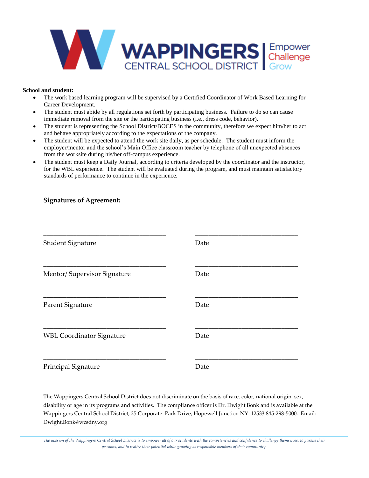

### **School and student:**

- The work based learning program will be supervised by a Certified Coordinator of Work Based Learning for Career Development.
- The student must abide by all regulations set forth by participating business. Failure to do so can cause immediate removal from the site or the participating business (i.e., dress code, behavior).
- The student is representing the School District/BOCES in the community, therefore we expect him/her to act and behave appropriately according to the expectations of the company.
- The student will be expected to attend the work site daily, as per schedule. The student must inform the employer/mentor and the school's Main Office classroom teacher by telephone of all unexpected absences from the worksite during his/her off-campus experience.
- The student must keep a Daily Journal, according to criteria developed by the coordinator and the instructor, for the WBL experience. The student will be evaluated during the program, and must maintain satisfactory standards of performance to continue in the experience.

## **Signatures of Agreement:**

| <b>Student Signature</b>         | Date |
|----------------------------------|------|
| Mentor/Supervisor Signature      | Date |
| Parent Signature                 | Date |
| <b>WBL Coordinator Signature</b> | Date |
| Principal Signature              | Date |

The Wappingers Central School District does not discriminate on the basis of race, color, national origin, sex, disability or age in its programs and activities. The compliance officer is Dr. Dwight Bonk and is available at the Wappingers Central School District, 25 Corporate Park Drive, Hopewell Junction NY 12533 845-298-5000. Email: Dwight.Bonk@wcsdny.org

*The mission of the Wappingers Central School District is to empower all of our students with the competencies and confidence to challenge themselves, to pursue their passions, and to realize their potential while growing as responsible members of their community.*